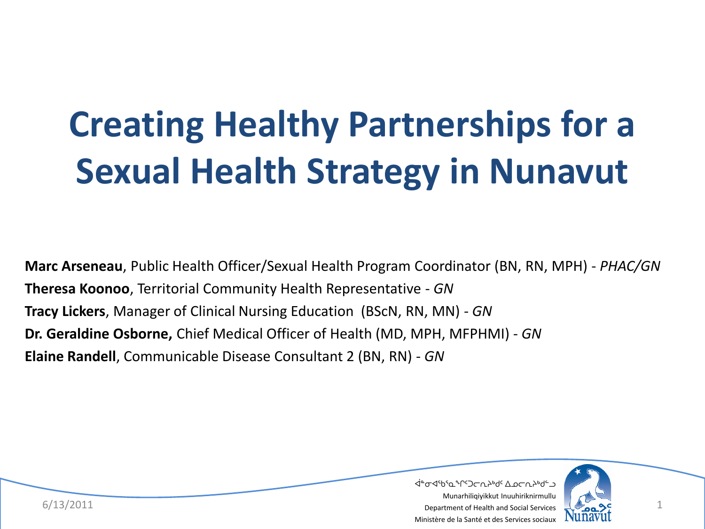# **Creating Healthy Partnerships for a Sexual Health Strategy in Nunavut**

**Marc Arseneau**, Public Health Officer/Sexual Health Program Coordinator (BN, RN, MPH) - *PHAC/GN* **Theresa Koonoo**, Territorial Community Health Representative - *GN* **Tracy Lickers**, Manager of Clinical Nursing Education (BScN, RN, MN) - *GN* **Dr. Geraldine Osborne,** Chief Medical Officer of Health (MD, MPH, MFPHMI) - *GN* **Elaine Randell**, Communicable Disease Consultant 2 (BN, RN) - *GN*



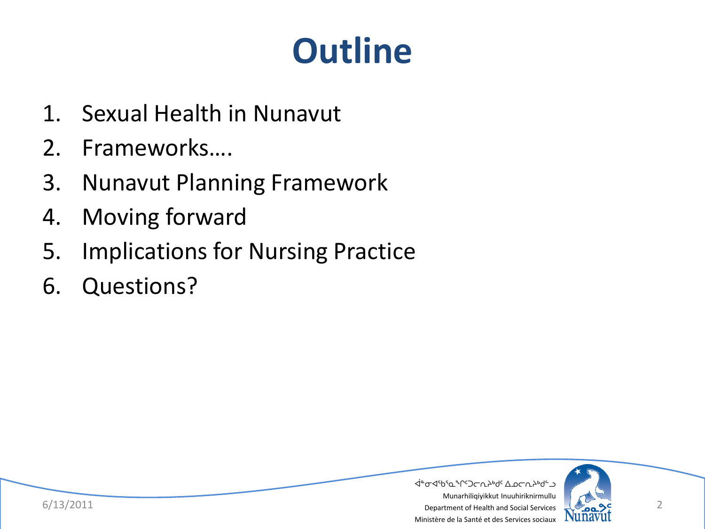### **Outline**

- 1. Sexual Health in Nunavut
- 2. Frameworks….
- 3. Nunavut Planning Framework
- 4. Moving forward
- 5. Implications for Nursing Practice
- 6. Questions?

 $6/13/2011$  Department of Health and Social Services  $\sqrt{2}$ ᐋᓐᓂᐊᖃᕐᓇᖏᑦᑐᓕᕆᔨᒃᑯᑦ ᐃᓄᓕᕆᔨᒃᑯᓪᓗ Munarhiliqiyikkut Inuuhiriknirmullu Ministère de la Santé et des Services sociaux

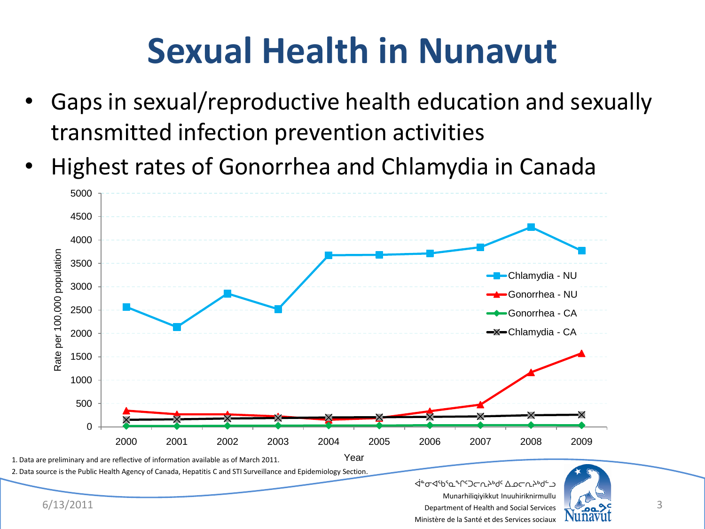### **Sexual Health in Nunavut**

- Gaps in sexual/reproductive health education and sexually transmitted infection prevention activities
- Highest rates of Gonorrhea and Chlamydia in Canada



Ministère de la Santé et des Services sociaux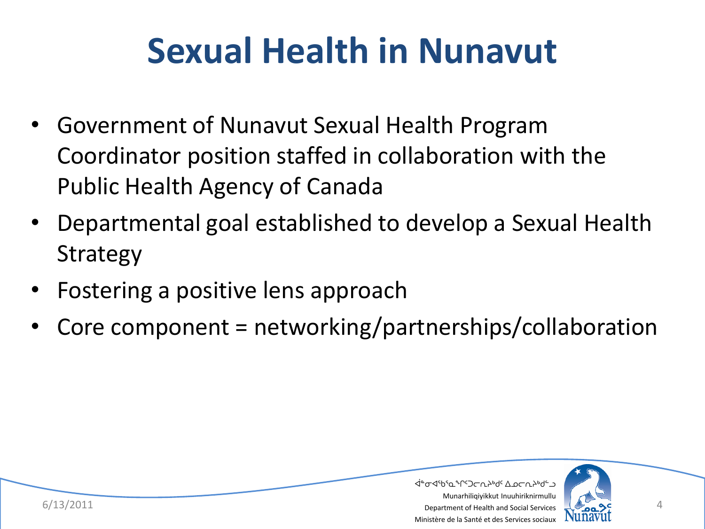### **Sexual Health in Nunavut**

- Government of Nunavut Sexual Health Program Coordinator position staffed in collaboration with the Public Health Agency of Canada
- Departmental goal established to develop a Sexual Health Strategy
- Fostering a positive lens approach
- Core component = networking/partnerships/collaboration



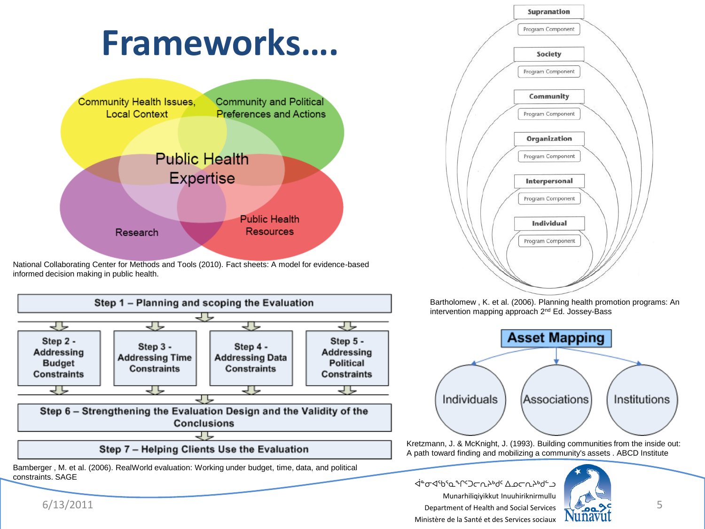

National Collaborating Center for Methods and Tools (2010). Fact sheets: A model for evidence-based informed decision making in public health.





Bartholomew , K. et al. (2006). Planning health promotion programs: An intervention mapping approach 2nd Ed. Jossey-Bass



Kretzmann, J. & McKnight, J. (1993). Building communities from the inside out: A path toward finding and mobilizing a community's assets . ABCD Institute

 $6/13/2011$  Department of Health and Social Services  $\sqrt{2\pi}$ ∠ ۱۹۳۹ م ۱۹۹۲ میلاد ۱۹۹۲ میلادی که برای محصوب استفاده برای استفاده برای محصوب استفاده برای محصوب استفاده برای<br>محصوب استفاده برای محصوب استفاده برای محصوب استفاده برای محصوب استفاده برای محصوب استفاده برای محصوب استفاده ب Munarhiliqiyikkut Inuuhiriknirmullu Ministère de la Santé et des Services sociaux



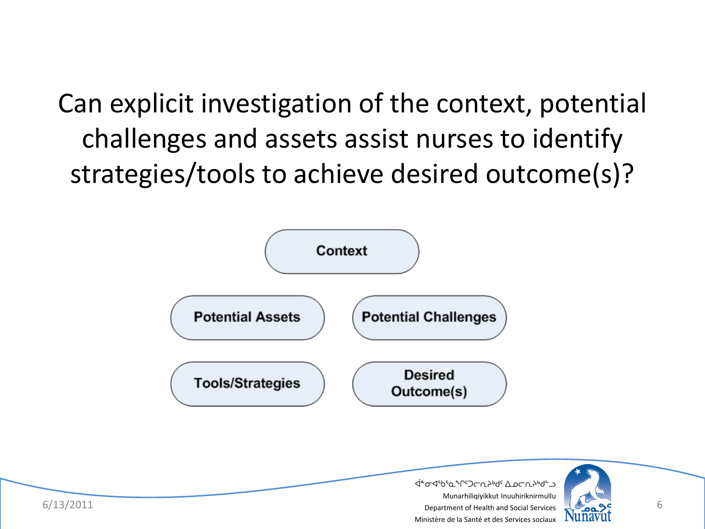Can explicit investigation of the context, potential challenges and assets assist nurses to identify strategies/tools to achieve desired outcome(s)?



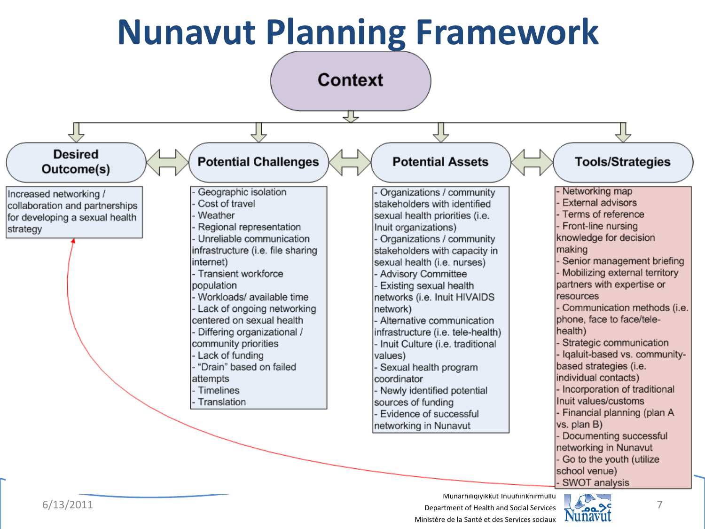### **Nunavut Planning Framework**



ᐋᓐᓂᐊᖃᕐᓇᖏᑦᑐᓕᕆᔨᒃᑯᑦ ᐃᓄᓕᕆᔨᒃᑯᓪᓗ



school venue) SWOT analysis

Go to the youth (utilize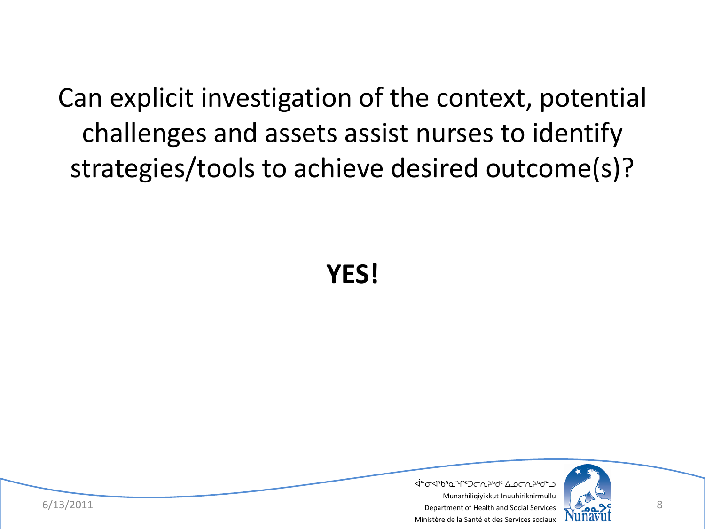Can explicit investigation of the context, potential challenges and assets assist nurses to identify strategies/tools to achieve desired outcome(s)?

**YES!**

ᐋᓐᓂᐊᖃᕐᓇᖏᑦᑐᓕᕆᔨᒃᑯᑦ ᐃᓄᓕᕆᔨᒃᑯᓪᓗ



 $6/13/2011$  Bepartment of Health and Social Services  $\sqrt{2\pi}$ Munarhiliqiyikkut Inuuhiriknirmullu Ministère de la Santé et des Services sociaux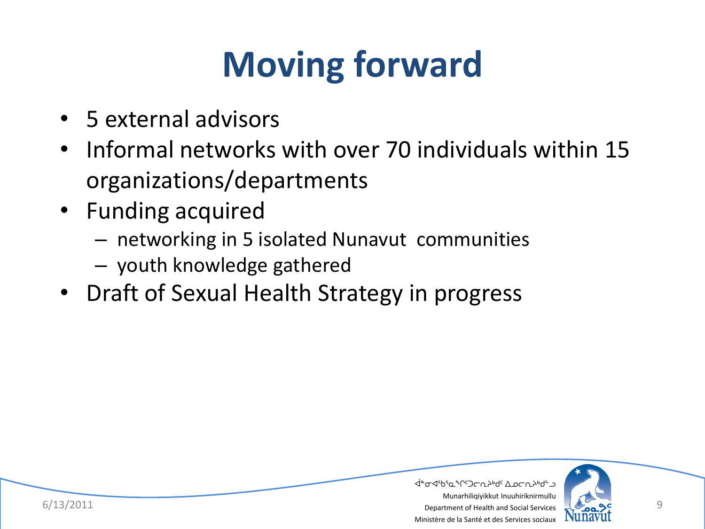# **Moving forward**

- 5 external advisors
- Informal networks with over 70 individuals within 15 organizations/departments
- Funding acquired
	- networking in 5 isolated Nunavut communities
	- youth knowledge gathered
- Draft of Sexual Health Strategy in progress



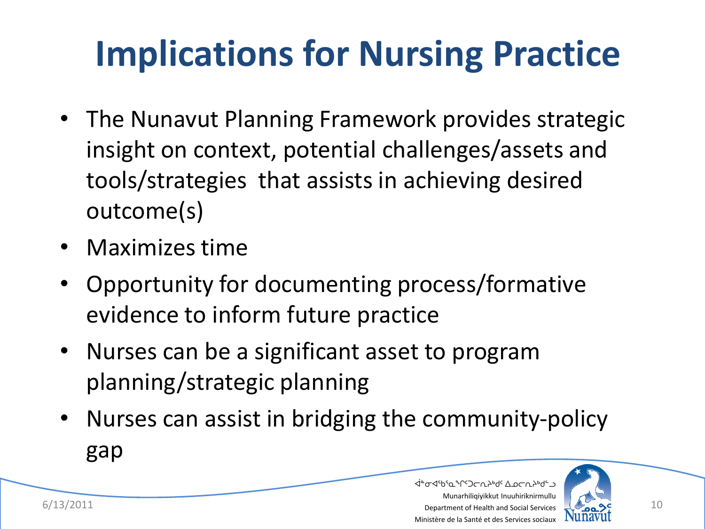# **Implications for Nursing Practice**

- The Nunavut Planning Framework provides strategic insight on context, potential challenges/assets and tools/strategies that assists in achieving desired outcome(s)
- Maximizes time
- Opportunity for documenting process/formative evidence to inform future practice
- Nurses can be a significant asset to program planning/strategic planning
- Nurses can assist in bridging the community-policy gap



ᐋᓐᓂᐊᖃᕐᓇᖏᑦᑐᓕᕆᔨᒃᑯᑦ ᐃᓄᓕᕆᔨᒃᑯᓪᓗ